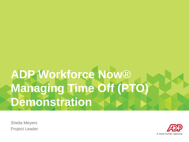# **ADP Workforce Now® Managing Time Off (PTO) Demonstration**

Sheila Meyers Project Leader

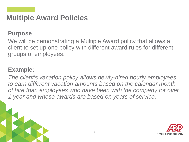### **Multiple Award Policies**

### **Purpose**

We will be demonstrating a Multiple Award policy that allows a client to set up one policy with different award rules for different groups of employees.

### **Example:**

*The client's vacation policy allows newly-hired hourly employees to earn different vacation amounts based on the calendar month of hire than employees who have been with the company for over 1 year and whose awards are based on years of service.*

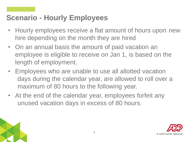### **Scenario - Hourly Employees**

- Hourly employees receive a flat amount of hours upon new hire depending on the month they are hired
- On an annual basis the amount of paid vacation an employee is eligible to receive on Jan 1, is based on the length of employment.
- Employees who are unable to use all allotted vacation days during the calendar year, are allowed to roll over a maximum of 80 hours to the following year.
- At the end of the calendar year, employees forfeit any unused vacation days in excess of 80 hours.



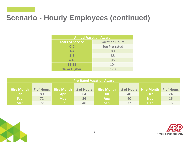## **Scenario - Hourly Employees (continued)**

| <b>Annual Vacation Award</b> |                       |  |  |  |
|------------------------------|-----------------------|--|--|--|
| <b>Years of Service</b>      | <b>Vacation Hours</b> |  |  |  |
| $0-0$                        | See Pro-rated         |  |  |  |
| $1-4$                        | 80                    |  |  |  |
| $5-6$                        | 88                    |  |  |  |
| $7 - 10$                     | 96                    |  |  |  |
| $11 - 15$                    | 104                   |  |  |  |
| <b>16 or Higher</b>          | 120                   |  |  |  |

| <b>Pro-Rated Vacation Award</b>                                                                                            |    |            |    |            |    |            |    |  |
|----------------------------------------------------------------------------------------------------------------------------|----|------------|----|------------|----|------------|----|--|
| Hire Month<br><b>Hire Month</b><br>Hire Month<br><b>Hire Month</b><br># of Hours<br># of Hours<br># of Hours<br># of Hours |    |            |    |            |    |            |    |  |
| <b>Jan</b>                                                                                                                 | 80 | Apr        | 64 | Jul        | 40 | Oct        | 24 |  |
| <b>Feb</b>                                                                                                                 | 72 | <b>May</b> | 56 | <b>Aug</b> | 40 | <b>Nov</b> | 16 |  |
| <b>Mar</b>                                                                                                                 |    | Jun        | 48 | <b>Sep</b> | 32 | <b>Dec</b> | 16 |  |

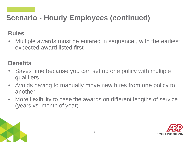## **Scenario - Hourly Employees (continued)**

### **Rules**

• Multiple awards must be entered in sequence , with the earliest expected award listed first

### **Benefits**

- Saves time because you can set up one policy with multiple qualifiers
- Avoids having to manually move new hires from one policy to another
- More flexibility to base the awards on different lengths of service (years vs. month of year).



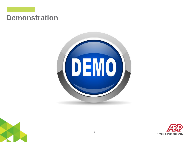### **Demonstration**





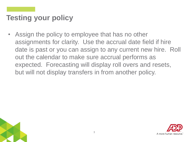• Assign the policy to employee that has no other assignments for clarity. Use the accrual date field if hire date is past or you can assign to any current new hire. Roll out the calendar to make sure accrual performs as expected. Forecasting will display roll overs and resets, but will not display transfers in from another policy.



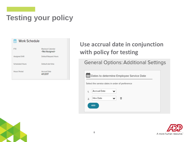

### **Use accrual date in conjunction with policy for testing**

### **General Options: Additional Settings**

| Dates to determine Employee Service Date        |  |  |  |  |
|-------------------------------------------------|--|--|--|--|
| Select the service dates in order of preference |  |  |  |  |
| Accrual Date<br>1.                              |  |  |  |  |
| Hire Date<br>侕<br>2.                            |  |  |  |  |
| <b>ADD</b>                                      |  |  |  |  |
|                                                 |  |  |  |  |

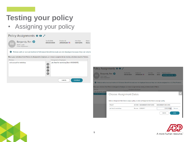• Assigning your policy





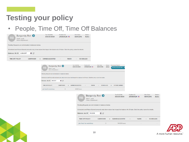• People, Time Off, Time Off Balances



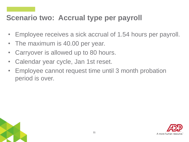### **Scenario two: Accrual type per payroll**

- Employee receives a sick accrual of 1.54 hours per payroll.
- The maximum is 40.00 per year.
- Carryover is allowed up to 80 hours.
- Calendar year cycle, Jan 1st reset.
- Employee cannot request time until 3 month probation period is over.

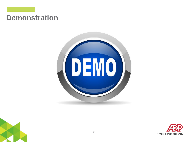### **Demonstration**





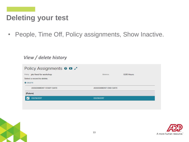### **Deleting your test**

• People, Time Off, Policy assignments, Show Inactive.

#### *View / delete history*

| Policy Assignments <b>@ D</b> 2 |                            |            |
|---------------------------------|----------------------------|------------|
| Policy pto fixed for workshop   | <b>Balance</b>             | 0.00 Hours |
| Select a record to delete.      |                            |            |
| O DELETE                        |                            |            |
| <b>ASSIGNMENT START DATE</b>    | <b>ASSIGNMENT END DATE</b> |            |
| (Future)                        |                            |            |
| 03/29/2017                      | 03/29/2017                 |            |
|                                 |                            |            |



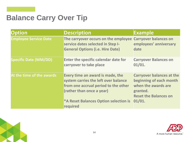### **Balance Carry Over Tip**

| <b>Option</b>                | <b>Description</b>                                                                                                                                                                                        | Example                                                                                                                                  |
|------------------------------|-----------------------------------------------------------------------------------------------------------------------------------------------------------------------------------------------------------|------------------------------------------------------------------------------------------------------------------------------------------|
| <b>Employee Service Date</b> | The carryover occurs on the employee Carryover balances on<br>service dates selected in Step I-<br><b>General Options (i.e. Hire Date)</b>                                                                | employees' anniversary<br>date                                                                                                           |
| <b>Specific Date (MM/DD)</b> | <b>Enter the specific calendar date for</b><br>carryover to take place                                                                                                                                    | <b>Carryover Balances on</b><br>01/01.                                                                                                   |
| At the time of the awards    | Every time an award is made, the<br>system carries the left over balance<br>from one accrual period to the other<br>(rather than once a year)<br><b>*A Reset Balances Option selection is</b><br>required | <b>Carryover balances at the</b><br>beginning of each month<br>when the awards are<br>granted.<br><b>Reset the Balances on</b><br>01/01. |

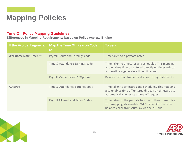### **Mapping Policies**

#### **Time Off Policy Mapping Guidelines**

**Differences in Mapping Requirements based on Policy Accrual Engine**

| If the Accrual Engine Is:     | <b>Map the Time Off Reason Code</b><br>to: | <b>To Send:</b>                                                                                                                                            |
|-------------------------------|--------------------------------------------|------------------------------------------------------------------------------------------------------------------------------------------------------------|
| <b>Workforce Now Time Off</b> | Payroll Hours and Earnings code            | Time taken to a paydata batch                                                                                                                              |
|                               | Time & Attendance Earnings code            | Time taken to timecards and schedules. This mapping<br>also enables time off entered directly on timecards to<br>automatically generate a time off request |
|                               | Payroll Memo codes****Optional             | Balances to mainframe for display on pay statements                                                                                                        |
| <b>AutoPay</b>                | Time & Attendance Earnings code            | Time taken to timecards and schedules. This mapping<br>also enables time off entered directly on timecards to<br>automatically generate a time off request |
|                               | <b>Payroll Allowed and Taken Codes</b>     | Time taken to the paydata batch and then to AutoPay.<br>This mapping also enables WFN Time Off to receive<br>balances back from AutoPay via the YTD file   |

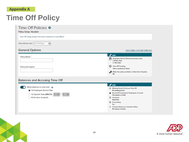#### **Appendix A**

### **Time Off Policy**

| Time Off Setup feature has been enhanced. Learn More!                                                                                            |                                                                                                                                                                                                                                     |  |
|--------------------------------------------------------------------------------------------------------------------------------------------------|-------------------------------------------------------------------------------------------------------------------------------------------------------------------------------------------------------------------------------------|--|
| Policy Effective Date ' mm/dd/yyyy<br>m                                                                                                          |                                                                                                                                                                                                                                     |  |
| <b>General Options</b>                                                                                                                           | EDIT USING CUSTOM TEMPLATE                                                                                                                                                                                                          |  |
| Policy Name*<br><b>Policy Description</b>                                                                                                        | $\mathscr F$ EDIT<br>Employee Service Dates (In priority order)<br>1 Rehire Date<br>2. Hire Date<br><b>1</b> Time Off Tracking<br>Time is tracked in: Hours<br>o <sup>t</sup> Make this policy available on New Hire Template<br>No |  |
| Balances and Accruing Time Off<br>Allow balances to carry over @<br>On Employee Service Date<br>O On Specific Date (MM/DD) $1 \times / 1 \times$ | $\mathscr F$ EDIT<br>@ Walting Period To Accrue Time Off<br>No waiting portod<br>A Accrual Processing for Employees on Leave<br>Put awards on hold<br><b>B</b> Carryover                                                            |  |
| At the time of awards                                                                                                                            | <b>Automatic</b>                                                                                                                                                                                                                    |  |
|                                                                                                                                                  | <sup>'9</sup> Forecasting<br>Yes<br><sup>[3]</sup> Transfer Balances to Another Policy<br>No balance transfer                                                                                                                       |  |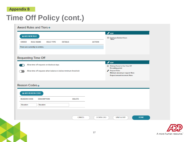#### **Appendix B**

### **Time Off Policy (cont.)**

| <b>O</b> ADD NEW RULE            |                                                                 |                |                 | $\mathscr{P}$ EDIT                                               |             |                        |
|----------------------------------|-----------------------------------------------------------------|----------------|-----------------|------------------------------------------------------------------|-------------|------------------------|
|                                  |                                                                 |                |                 | $\odot$ Employee Banked Hours<br>None                            |             |                        |
| <b>RULE NAME</b><br><b>ORDER</b> | <b>RULE TYPE</b>                                                | <b>DETAILS</b> | <b>ACTION</b>   |                                                                  |             |                        |
| There are currently no entries.  |                                                                 |                |                 |                                                                  |             |                        |
| <b>Requesting Time Off</b>       |                                                                 |                |                 |                                                                  |             |                        |
|                                  |                                                                 |                |                 | $\mathscr{P}$ EDIT                                               |             |                        |
| n.                               | Allow time off requests on blackout days                        |                |                 | <sup>2</sup> Walting Period to Use Time Off<br>No waiting period |             |                        |
|                                  | Allow time off requests when balance is below minimum threshold |                |                 | <sup>6</sup> Request Rules<br>Minimum amount per request: None   |             |                        |
|                                  |                                                                 |                |                 |                                                                  |             |                        |
| Reason Codes o                   |                                                                 |                |                 | Request amount increment: None                                   |             |                        |
| <b>@ ADD REASON CODE</b>         |                                                                 |                |                 |                                                                  |             |                        |
| <b>REASON CODE</b>               | <b>DESCRIPTION</b>                                              | <b>DELETE</b>  |                 |                                                                  |             |                        |
| Vacation                         | Vacation                                                        |                |                 |                                                                  |             |                        |
|                                  |                                                                 |                |                 |                                                                  |             |                        |
|                                  |                                                                 | <b>CANCEL</b>  | <b>DOWNLOAD</b> | <b>SAVE &amp; EXIT</b>                                           | <b>DONE</b> |                        |
|                                  |                                                                 |                |                 |                                                                  |             |                        |
|                                  |                                                                 |                |                 |                                                                  |             |                        |
|                                  |                                                                 |                | 17              |                                                                  |             | A more human resource. |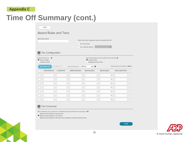#### **Appendix C**

### **Time Off Summary (cont.)**

#### < BACK

#### **Award Rules and Tiers**

| Award Rule Name *<br><b>Tier Configuration</b>                                     |                                         | Select how often employees must be awarded time off *<br>One Time Only<br>On a specific interval |                                                          |                                    |
|------------------------------------------------------------------------------------|-----------------------------------------|--------------------------------------------------------------------------------------------------|----------------------------------------------------------|------------------------------------|
| Define tiers based on<br>$\boldsymbol{\Omega}$<br>Service length<br>Calendar month |                                         | Calendar Year<br><b>Employee Service Date</b>                                                    | Select how employees service length must be calculated ℮ |                                    |
| <b>O</b> DELETE<br><b>O</b> ADD NEW TIER                                           | Enter service tiers as                  | Months<br>$\bullet$<br>◡                                                                         |                                                          | Award amounts are tracked in Hours |
| <b>FROM MONTHS</b>                                                                 | <b>TO MONTHS</b><br><b>AWARD AMOUNT</b> | <b>MAX BALANCE</b>                                                                               | <b>MIN BALANCE</b>                                       | <b>MAX CARRYOVER</b>               |
|                                                                                    |                                         |                                                                                                  | 0                                                        |                                    |
|                                                                                    |                                         |                                                                                                  | o                                                        |                                    |
|                                                                                    |                                         |                                                                                                  | o                                                        |                                    |
|                                                                                    |                                         |                                                                                                  | 0                                                        |                                    |
|                                                                                    |                                         |                                                                                                  | o                                                        |                                    |
|                                                                                    |                                         |                                                                                                  | 0                                                        |                                    |
|                                                                                    |                                         |                                                                                                  | o                                                        |                                    |

#### Tier Crossover

When employees cross a service tier in a distribution period, give them the accrual based on:  $\mathbf \Theta$ 

Award amount defined in previous tier

Award amount defined in current tier

Award amount defined in tier where the employee has spent maximum time



**DONE**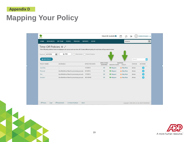#### **Appendix D**

### **Mapping Your Policy**